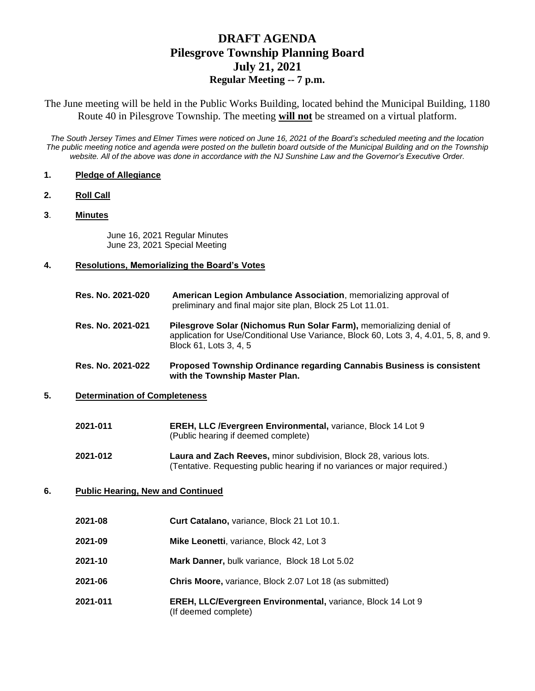# **DRAFT AGENDA Pilesgrove Township Planning Board July 21, 2021 Regular Meeting -- 7 p.m.**

The June meeting will be held in the Public Works Building, located behind the Municipal Building, 1180 Route 40 in Pilesgrove Township. The meeting **will not** be streamed on a virtual platform.

*The South Jersey Times and Elmer Times were noticed on June 16, 2021 of the Board's scheduled meeting and the location The public meeting notice and agenda were posted on the bulletin board outside of the Municipal Building and on the Township website. All of the above was done in accordance with the NJ Sunshine Law and the Governor's Executive Order.*

#### **1. Pledge of Allegiance**

- **2. Roll Call**
- **3**. **Minutes**

June 16, 2021 Regular Minutes June 23, 2021 Special Meeting

### **4. Resolutions, Memorializing the Board's Votes**

**Res. No. 2021-020 American Legion Ambulance Association**, memorializing approval of preliminary and final major site plan, Block 25 Lot 11.01. **Res. No. 2021-021 Pilesgrove Solar (Nichomus Run Solar Farm),** memorializing denial of application for Use/Conditional Use Variance, Block 60, Lots 3, 4, 4.01, 5, 8, and 9. Block 61, Lots 3, 4, 5

## **Res. No. 2021-022 Proposed Township Ordinance regarding Cannabis Business is consistent with the Township Master Plan.**

## **5. Determination of Completeness**

| 2021-011 | <b>EREH, LLC / Evergreen Environmental, variance, Block 14 Lot 9</b> |
|----------|----------------------------------------------------------------------|
|          | (Public hearing if deemed complete)                                  |

**2021-012 Laura and Zach Reeves,** minor subdivision, Block 28, various lots. (Tentative. Requesting public hearing if no variances or major required.)

#### **6. Public Hearing, New and Continued**

| 2021-08  | <b>Curt Catalano, variance, Block 21 Lot 10.1.</b>                                  |
|----------|-------------------------------------------------------------------------------------|
| 2021-09  | Mike Leonetti, variance, Block 42, Lot 3                                            |
| 2021-10  | Mark Danner, bulk variance, Block 18 Lot 5.02                                       |
| 2021-06  | Chris Moore, variance, Block 2.07 Lot 18 (as submitted)                             |
| 2021-011 | EREH, LLC/Evergreen Environmental, variance, Block 14 Lot 9<br>(If deemed complete) |